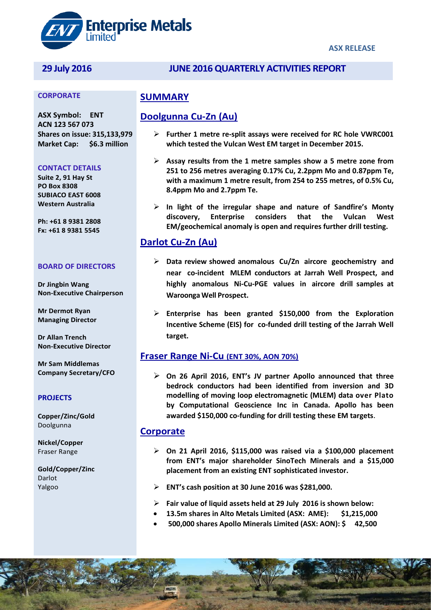

### **ASX RELEASE**

# **29 July 2016 JUNE 2016QUARTERLY ACTIVITIES REPORT**

#### **CORPORATE**

**ASX Symbol: ENT ACN 123 567 073 Shares on issue: 315,133,979 Market Cap: \$6.3 million** 

#### **CONTACT DETAILS**

**Suite 2, 91 Hay St PO Box 8308 SUBIACO EAST 6008 Western Australia**

**Ph: +61 8 9381 2808 Fx: +61 8 9381 5545**

#### **BOARD OF DIRECTORS**

**Dr Jingbin Wang Non-Executive Chairperson**

**Mr Dermot Ryan Managing Director**

**Dr Allan Trench Non-Executive Director** 

**Mr Sam Middlemas Company Secretary/CFO**

#### **PROJECTS**

**Copper/Zinc/Gold** Doolgunna

**Nickel/Copper** Fraser Range

**Gold/Copper/Zinc** Darlot Yalgoo

## **SUMMARY**

## **Doolgunna Cu-Zn (Au)**

- **Further 1 metre re-split assays were received for RC hole VWRC001 which tested the Vulcan West EM target in December 2015.**
- **Assay results from the 1 metre samples show a 5 metre zone from 251 to 256 metres averaging 0.17% Cu, 2.2ppm Mo and 0.87ppm Te, with a maximum 1 metre result, from 254 to 255 metres, of 0.5% Cu, 8.4ppm Mo and 2.7ppm Te.**
- **In light of the irregular shape and nature of Sandfire's Monty discovery, Enterprise considers that the Vulcan West EM/geochemical anomaly is open and requires further drill testing.**

## **Darlot Cu-Zn (Au)**

- **Data review showed anomalous Cu/Zn aircore geochemistry and near co-incident MLEM conductors at Jarrah Well Prospect, and highly anomalous Ni-Cu-PGE values in aircore drill samples at Waroonga Well Prospect.**
- **Enterprise has been granted \$150,000 from the Exploration Incentive Scheme (EIS) for co-funded drill testing of the Jarrah Well target.**

## **Fraser Range Ni-Cu (ENT 30%, AON 70%)**

 **On 26 April 2016, ENT's JV partner Apollo announced that three bedrock conductors had been identified from inversion and 3D modelling of moving loop electromagnetic (MLEM) data over Plato by Computational Geoscience Inc in Canada. Apollo has been awarded \$150,000 co-funding for drill testing these EM targets**.

## **Corporate**

- **On 21 April 2016, \$115,000 was raised via a \$100,000 placement from ENT's major shareholder SinoTech Minerals and a \$15,000 placement from an existing ENT sophisticated investor.**
- **ENT's cash position at 30 June 2016 was \$281,000.**
- **Fair value of liquid assets held at 29 July 2016 is shown below:**
- **13.5m shares in Alto Metals Limited (ASX: AME): \$1,215,000**
- **500,000 shares Apollo Minerals Limited (ASX: AON): \$ 42,500**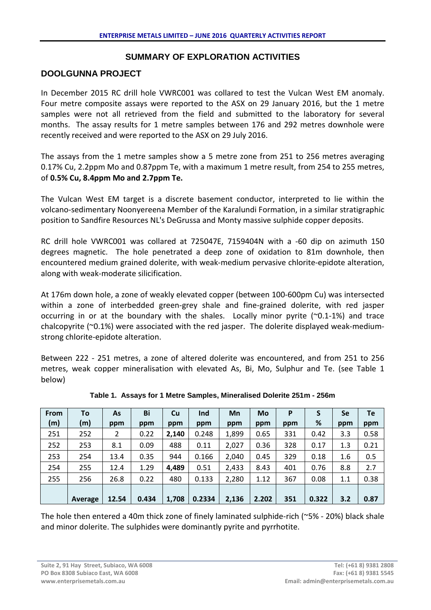## **SUMMARY OF EXPLORATION ACTIVITIES**

## **DOOLGUNNA PROJECT**

In December 2015 RC drill hole VWRC001 was collared to test the Vulcan West EM anomaly. Four metre composite assays were reported to the ASX on 29 January 2016, but the 1 metre samples were not all retrieved from the field and submitted to the laboratory for several months. The assay results for 1 metre samples between 176 and 292 metres downhole were recently received and were reported to the ASX on 29 July 2016.

The assays from the 1 metre samples show a 5 metre zone from 251 to 256 metres averaging 0.17% Cu, 2.2ppm Mo and 0.87ppm Te, with a maximum 1 metre result, from 254 to 255 metres, of **0.5% Cu, 8.4ppm Mo and 2.7ppm Te.**

The Vulcan West EM target is a discrete basement conductor, interpreted to lie within the volcano-sedimentary Noonyereena Member of the Karalundi Formation, in a similar stratigraphic position to Sandfire Resources NL's DeGrussa and Monty massive sulphide copper deposits.

RC drill hole VWRC001 was collared at 725047E, 7159404N with a -60 dip on azimuth 150 degrees magnetic. The hole penetrated a deep zone of oxidation to 81m downhole, then encountered medium grained dolerite, with weak-medium pervasive chlorite-epidote alteration, along with weak-moderate silicification.

At 176m down hole, a zone of weakly elevated copper (between 100-600pm Cu) was intersected within a zone of interbedded green-grey shale and fine-grained dolerite, with red jasper occurring in or at the boundary with the shales. Locally minor pyrite  $(\sim 0.1-1\%)$  and trace chalcopyrite (~0.1%) were associated with the red jasper. The dolerite displayed weak-mediumstrong chlorite-epidote alteration.

Between 222 - 251 metres, a zone of altered dolerite was encountered, and from 251 to 256 metres, weak copper mineralisation with elevated As, Bi, Mo, Sulphur and Te. (see Table 1 below)

| <b>From</b> | To      | As    | Bi    | Cu    | Ind    | Mn    | Mo    | P   |       | Se  | Te   |
|-------------|---------|-------|-------|-------|--------|-------|-------|-----|-------|-----|------|
| (m)         | (m)     | ppm   | ppm   | ppm   | ppm    | ppm   | ppm   | ppm | %     | ppm | ppm  |
| 251         | 252     | 2     | 0.22  | 2,140 | 0.248  | 1,899 | 0.65  | 331 | 0.42  | 3.3 | 0.58 |
| 252         | 253     | 8.1   | 0.09  | 488   | 0.11   | 2,027 | 0.36  | 328 | 0.17  | 1.3 | 0.21 |
| 253         | 254     | 13.4  | 0.35  | 944   | 0.166  | 2,040 | 0.45  | 329 | 0.18  | 1.6 | 0.5  |
| 254         | 255     | 12.4  | 1.29  | 4,489 | 0.51   | 2,433 | 8.43  | 401 | 0.76  | 8.8 | 2.7  |
| 255         | 256     | 26.8  | 0.22  | 480   | 0.133  | 2,280 | 1.12  | 367 | 0.08  | 1.1 | 0.38 |
|             |         |       |       |       |        |       |       |     |       |     |      |
|             | Average | 12.54 | 0.434 | 1,708 | 0.2334 | 2,136 | 2.202 | 351 | 0.322 | 3.2 | 0.87 |

**Table 1. Assays for 1 Metre Samples, Mineralised Dolerite 251m - 256m**

The hole then entered a 40m thick zone of finely laminated sulphide-rich (~5% - 20%) black shale and minor dolerite. The sulphides were dominantly pyrite and pyrrhotite.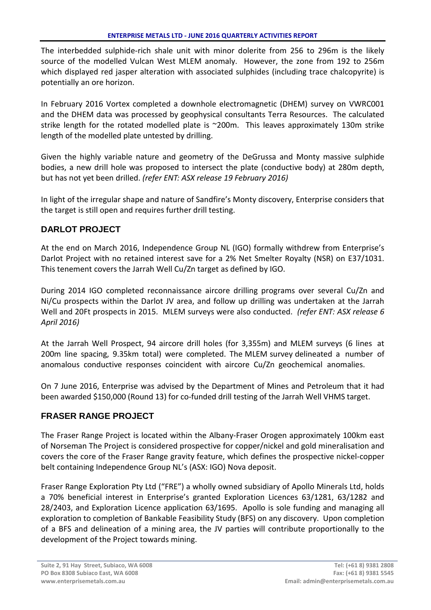The interbedded sulphide-rich shale unit with minor dolerite from 256 to 296m is the likely source of the modelled Vulcan West MLEM anomaly. However, the zone from 192 to 256m which displayed red jasper alteration with associated sulphides (including trace chalcopyrite) is potentially an ore horizon.

In February 2016 Vortex completed a downhole electromagnetic (DHEM) survey on VWRC001 and the DHEM data was processed by geophysical consultants Terra Resources. The calculated strike length for the rotated modelled plate is ~200m. This leaves approximately 130m strike length of the modelled plate untested by drilling.

Given the highly variable nature and geometry of the DeGrussa and Monty massive sulphide bodies, a new drill hole was proposed to intersect the plate (conductive body) at 280m depth, but has not yet been drilled. *(refer ENT: ASX release 19 February 2016)*

In light of the irregular shape and nature of Sandfire's Monty discovery, Enterprise considers that the target is still open and requires further drill testing.

# **DARLOT PROJECT**

At the end on March 2016, Independence Group NL (IGO) formally withdrew from Enterprise's Darlot Project with no retained interest save for a 2% Net Smelter Royalty (NSR) on E37/1031. This tenement covers the Jarrah Well Cu/Zn target as defined by IGO.

During 2014 IGO completed reconnaissance aircore drilling programs over several Cu/Zn and Ni/Cu prospects within the Darlot JV area, and follow up drilling was undertaken at the Jarrah Well and 20Ft prospects in 2015. MLEM surveys were also conducted. *(refer ENT: ASX release 6 April 2016)*

At the Jarrah Well Prospect, 94 aircore drill holes (for 3,355m) and MLEM surveys (6 lines at 200m line spacing, 9.35km total) were completed. The MLEM survey delineated a number of anomalous conductive responses coincident with aircore Cu/Zn geochemical anomalies.

On 7 June 2016, Enterprise was advised by the Department of Mines and Petroleum that it had been awarded \$150,000 (Round 13) for co-funded drill testing of the Jarrah Well VHMS target.

# **FRASER RANGE PROJECT**

The Fraser Range Project is located within the Albany-Fraser Orogen approximately 100km east of Norseman The Project is considered prospective for copper/nickel and gold mineralisation and covers the core of the Fraser Range gravity feature, which defines the prospective nickel-copper belt containing Independence Group NL's (ASX: IGO) Nova deposit.

Fraser Range Exploration Pty Ltd ("FRE") a wholly owned subsidiary of Apollo Minerals Ltd, holds a 70% beneficial interest in Enterprise's granted Exploration Licences 63/1281, 63/1282 and 28/2403, and Exploration Licence application 63/1695. Apollo is sole funding and managing all exploration to completion of Bankable Feasibility Study (BFS) on any discovery. Upon completion of a BFS and delineation of a mining area, the JV parties will contribute proportionally to the development of the Project towards mining.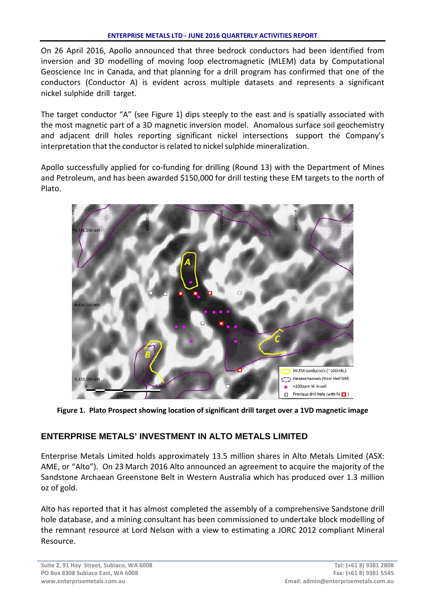On 26 April 2016, Apollo announced that three bedrock conductors had been identified from inversion and 3D modelling of moving loop electromagnetic (MLEM) data by Computational Geoscience Inc in Canada, and that planning for a drill program has confirmed that one of the conductors (Conductor A) is evident across multiple datasets and represents a significant nickel sulphide drill target.

The target conductor "A" (see Figure 1) dips steeply to the east and is spatially associated with the most magnetic part of a 3D magnetic inversion model. Anomalous surface soil geochemistry and adjacent drill holes reporting significant nickel intersections support the Company's interpretation that the conductor is related to nickel sulphide mineralization.

Apollo successfully applied for co-funding for drilling (Round 13) with the Department of Mines and Petroleum, and has been awarded \$150,000 for drill testing these EM targets to the north of Plato.



**Figure 1. Plato Prospect showing location of significant drill target over a 1VD magnetic image**

# **ENTERPRISE METALS' INVESTMENT IN ALTO METALS LIMITED**

Enterprise Metals Limited holds approximately 13.5 million shares in Alto Metals Limited (ASX: AME, or "Alto"). On 23 March 2016 Alto announced an agreement to acquire the majority of the Sandstone Archaean Greenstone Belt in Western Australia which has produced over 1.3 million oz of gold.

Alto has reported that it has almost completed the assembly of a comprehensive Sandstone drill hole database, and a mining consultant has been commissioned to undertake block modelling of the remnant resource at Lord Nelson with a view to estimating a JORC 2012 compliant Mineral Resource.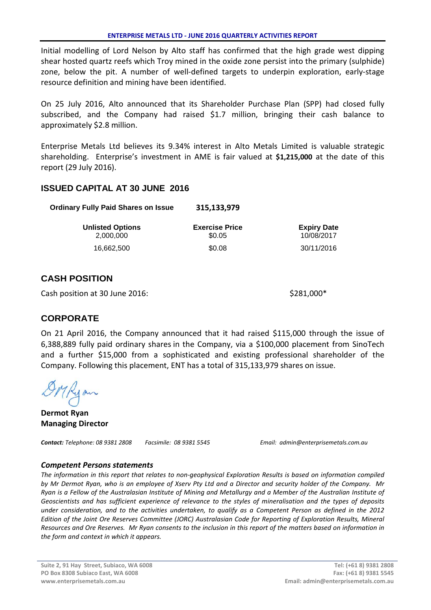Initial modelling of Lord Nelson by Alto staff has confirmed that the high grade west dipping shear hosted quartz reefs which Troy mined in the oxide zone persist into the primary (sulphide) zone, below the pit. A number of well-defined targets to underpin exploration, early-stage resource definition and mining have been identified.

On 25 July 2016, Alto announced that its Shareholder Purchase Plan (SPP) had closed fully subscribed, and the Company had raised \$1.7 million, bringing their cash balance to approximately \$2.8 million.

Enterprise Metals Ltd believes its 9.34% interest in Alto Metals Limited is valuable strategic shareholding. Enterprise's investment in AME is fair valued at **\$1,215,000** at the date of this report (29 July 2016).

# **ISSUED CAPITAL AT 30 JUNE 2016**

| <b>Ordinary Fully Paid Shares on Issue</b> | 315,133,979                     |                                  |
|--------------------------------------------|---------------------------------|----------------------------------|
| <b>Unlisted Options</b><br>2.000.000       | <b>Exercise Price</b><br>\$0.05 | <b>Expiry Date</b><br>10/08/2017 |
| 16.662.500                                 | \$0.08                          | 30/11/2016                       |

# **CASH POSITION**

Cash position at 30 June 2016:  $\sim$  \$281,000\*

# **CORPORATE**

On 21 April 2016, the Company announced that it had raised \$115,000 through the issue of 6,388,889 fully paid ordinary shares in the Company, via a \$100,000 placement from SinoTech and a further \$15,000 from a sophisticated and existing professional shareholder of the Company. Following this placement, ENT has a total of 315,133,979 shares on issue.

Myan

**Dermot Ryan Managing Director**

*Contact: Telephone: 08 9381 2808 Facsimile: 08 9381 5545 Email: admin@enterprisemetals.com.au*

## *Competent Persons statements*

*The information in this report that relates to non-geophysical Exploration Results is based on information compiled by Mr Dermot Ryan, who is an employee of Xserv Pty Ltd and a Director and security holder of the Company. Mr Ryan is a Fellow of the Australasian Institute of Mining and Metallurgy and a Member of the Australian Institute of Geoscientists and has sufficient experience of relevance to the styles of mineralisation and the types of deposits under consideration, and to the activities undertaken, to qualify as a Competent Person as defined in the 2012 Edition of the Joint Ore Reserves Committee (JORC) Australasian Code for Reporting of Exploration Results, Mineral Resources and Ore Reserves. Mr Ryan consents to the inclusion in this report of the matters based on information in the form and context in which it appears.*